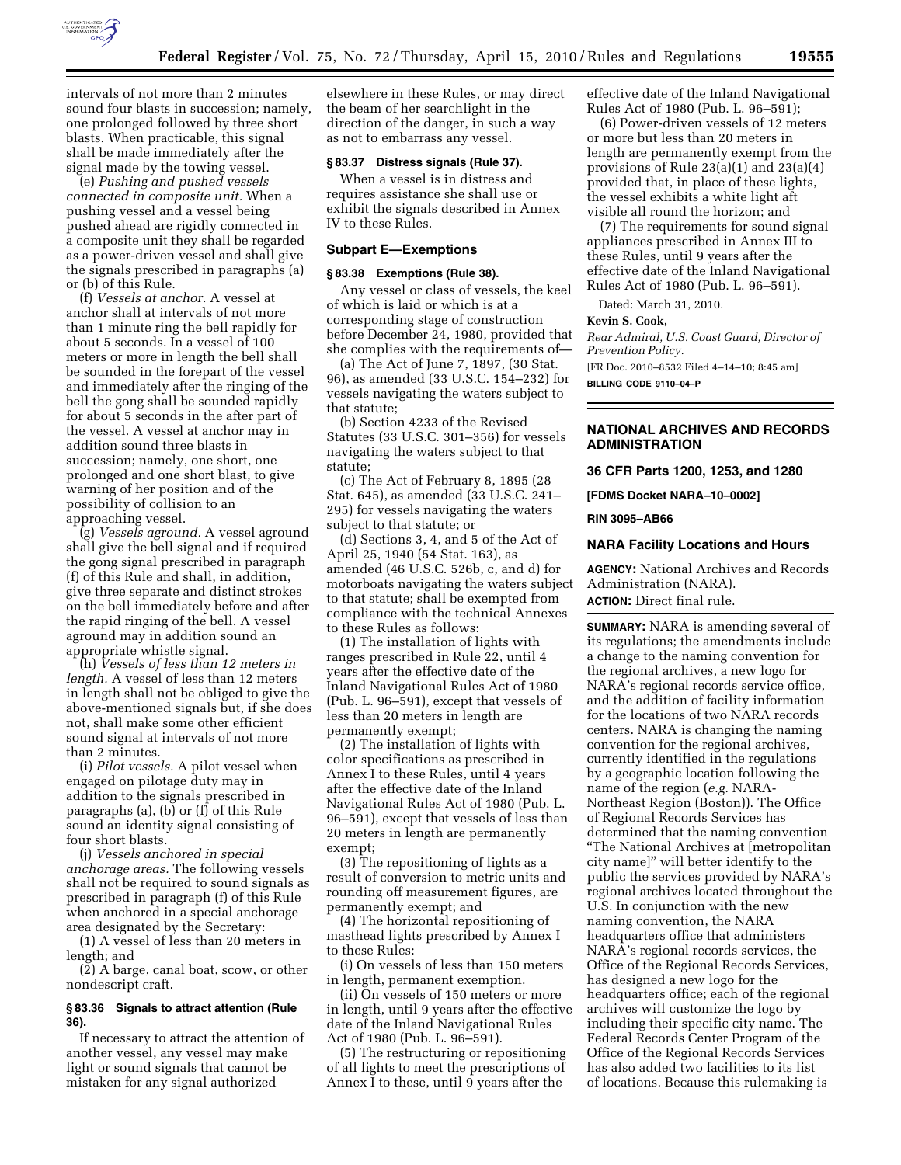

intervals of not more than 2 minutes sound four blasts in succession; namely, one prolonged followed by three short blasts. When practicable, this signal shall be made immediately after the signal made by the towing vessel.

(e) *Pushing and pushed vessels connected in composite unit.* When a pushing vessel and a vessel being pushed ahead are rigidly connected in a composite unit they shall be regarded as a power-driven vessel and shall give the signals prescribed in paragraphs (a) or (b) of this Rule.

(f) *Vessels at anchor.* A vessel at anchor shall at intervals of not more than 1 minute ring the bell rapidly for about 5 seconds. In a vessel of 100 meters or more in length the bell shall be sounded in the forepart of the vessel and immediately after the ringing of the bell the gong shall be sounded rapidly for about 5 seconds in the after part of the vessel. A vessel at anchor may in addition sound three blasts in succession; namely, one short, one prolonged and one short blast, to give warning of her position and of the possibility of collision to an approaching vessel.

(g) *Vessels aground.* A vessel aground shall give the bell signal and if required the gong signal prescribed in paragraph (f) of this Rule and shall, in addition, give three separate and distinct strokes on the bell immediately before and after the rapid ringing of the bell. A vessel aground may in addition sound an appropriate whistle signal.

(h) *Vessels of less than 12 meters in length.* A vessel of less than 12 meters in length shall not be obliged to give the above-mentioned signals but, if she does not, shall make some other efficient sound signal at intervals of not more than 2 minutes.

(i) *Pilot vessels.* A pilot vessel when engaged on pilotage duty may in addition to the signals prescribed in paragraphs (a), (b) or (f) of this Rule sound an identity signal consisting of four short blasts.

(j) *Vessels anchored in special anchorage areas.* The following vessels shall not be required to sound signals as prescribed in paragraph (f) of this Rule when anchored in a special anchorage area designated by the Secretary:

(1) A vessel of less than 20 meters in length; and

(2) A barge, canal boat, scow, or other nondescript craft.

# **§ 83.36 Signals to attract attention (Rule 36).**

If necessary to attract the attention of another vessel, any vessel may make light or sound signals that cannot be mistaken for any signal authorized

elsewhere in these Rules, or may direct the beam of her searchlight in the direction of the danger, in such a way as not to embarrass any vessel.

# **§ 83.37 Distress signals (Rule 37).**

When a vessel is in distress and requires assistance she shall use or exhibit the signals described in Annex IV to these Rules.

### **Subpart E—Exemptions**

#### **§ 83.38 Exemptions (Rule 38).**

Any vessel or class of vessels, the keel of which is laid or which is at a corresponding stage of construction before December 24, 1980, provided that she complies with the requirements of—

(a) The Act of June 7, 1897, (30 Stat. 96), as amended (33 U.S.C. 154–232) for vessels navigating the waters subject to that statute;

(b) Section 4233 of the Revised Statutes (33 U.S.C. 301–356) for vessels navigating the waters subject to that statute;

(c) The Act of February 8, 1895 (28 Stat. 645), as amended (33 U.S.C. 241– 295) for vessels navigating the waters subject to that statute; or

(d) Sections 3, 4, and 5 of the Act of April 25, 1940 (54 Stat. 163), as amended (46 U.S.C. 526b, c, and d) for motorboats navigating the waters subject to that statute; shall be exempted from compliance with the technical Annexes to these Rules as follows:

(1) The installation of lights with ranges prescribed in Rule 22, until 4 years after the effective date of the Inland Navigational Rules Act of 1980 (Pub. L. 96–591), except that vessels of less than 20 meters in length are permanently exempt;

(2) The installation of lights with color specifications as prescribed in Annex I to these Rules, until 4 years after the effective date of the Inland Navigational Rules Act of 1980 (Pub. L. 96–591), except that vessels of less than 20 meters in length are permanently exempt;

(3) The repositioning of lights as a result of conversion to metric units and rounding off measurement figures, are permanently exempt; and

(4) The horizontal repositioning of masthead lights prescribed by Annex I to these Rules:

(i) On vessels of less than 150 meters in length, permanent exemption.

(ii) On vessels of 150 meters or more in length, until 9 years after the effective date of the Inland Navigational Rules Act of 1980 (Pub. L. 96–591).

(5) The restructuring or repositioning of all lights to meet the prescriptions of Annex I to these, until 9 years after the

effective date of the Inland Navigational Rules Act of 1980 (Pub. L. 96–591);

(6) Power-driven vessels of 12 meters or more but less than 20 meters in length are permanently exempt from the provisions of Rule 23(a)(1) and 23(a)(4) provided that, in place of these lights, the vessel exhibits a white light aft visible all round the horizon; and

(7) The requirements for sound signal appliances prescribed in Annex III to these Rules, until 9 years after the effective date of the Inland Navigational Rules Act of 1980 (Pub. L. 96–591).

Dated: March 31, 2010.

#### **Kevin S. Cook,**

*Rear Admiral, U.S. Coast Guard, Director of Prevention Policy.* 

[FR Doc. 2010–8532 Filed 4–14–10; 8:45 am]

**BILLING CODE 9110–04–P** 

## **NATIONAL ARCHIVES AND RECORDS ADMINISTRATION**

**36 CFR Parts 1200, 1253, and 1280** 

**[FDMS Docket NARA–10–0002]** 

**RIN 3095–AB66** 

### **NARA Facility Locations and Hours**

**AGENCY:** National Archives and Records Administration (NARA). **ACTION:** Direct final rule.

**SUMMARY:** NARA is amending several of its regulations; the amendments include a change to the naming convention for the regional archives, a new logo for NARA's regional records service office, and the addition of facility information for the locations of two NARA records centers. NARA is changing the naming convention for the regional archives, currently identified in the regulations by a geographic location following the name of the region (*e.g.* NARA-Northeast Region (Boston)). The Office of Regional Records Services has determined that the naming convention ''The National Archives at [metropolitan city name]'' will better identify to the public the services provided by NARA's regional archives located throughout the U.S. In conjunction with the new naming convention, the NARA headquarters office that administers NARA's regional records services, the Office of the Regional Records Services, has designed a new logo for the headquarters office; each of the regional archives will customize the logo by including their specific city name. The Federal Records Center Program of the Office of the Regional Records Services has also added two facilities to its list of locations. Because this rulemaking is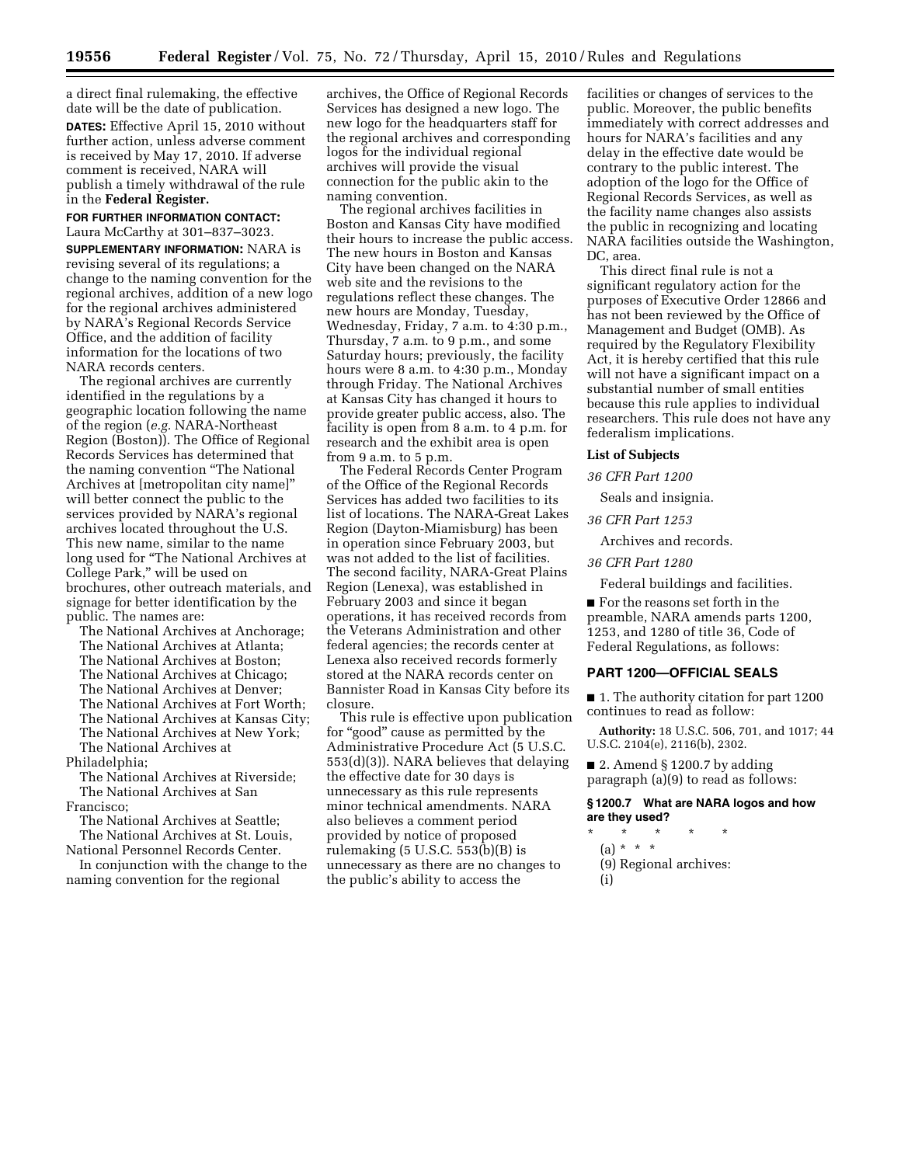a direct final rulemaking, the effective date will be the date of publication. **DATES:** Effective April 15, 2010 without further action, unless adverse comment is received by May 17, 2010. If adverse comment is received, NARA will publish a timely withdrawal of the rule in the **Federal Register.** 

## **FOR FURTHER INFORMATION CONTACT:**  Laura McCarthy at 301–837–3023.

**SUPPLEMENTARY INFORMATION:** NARA is revising several of its regulations; a change to the naming convention for the regional archives, addition of a new logo for the regional archives administered by NARA's Regional Records Service Office, and the addition of facility information for the locations of two NARA records centers.

The regional archives are currently identified in the regulations by a geographic location following the name of the region (*e.g.* NARA-Northeast Region (Boston)). The Office of Regional Records Services has determined that the naming convention ''The National Archives at [metropolitan city name]'' will better connect the public to the services provided by NARA's regional archives located throughout the U.S. This new name, similar to the name long used for ''The National Archives at College Park,'' will be used on brochures, other outreach materials, and signage for better identification by the public. The names are:

The National Archives at Anchorage; The National Archives at Atlanta; The National Archives at Boston; The National Archives at Chicago; The National Archives at Denver; The National Archives at Fort Worth; The National Archives at Kansas City;

The National Archives at New York;

The National Archives at

Philadelphia;

The National Archives at Riverside; The National Archives at San Francisco;

The National Archives at Seattle; The National Archives at St. Louis,

National Personnel Records Center. In conjunction with the change to the naming convention for the regional

archives, the Office of Regional Records Services has designed a new logo. The new logo for the headquarters staff for the regional archives and corresponding logos for the individual regional archives will provide the visual connection for the public akin to the naming convention.

The regional archives facilities in Boston and Kansas City have modified their hours to increase the public access. The new hours in Boston and Kansas City have been changed on the NARA web site and the revisions to the regulations reflect these changes. The new hours are Monday, Tuesday, Wednesday, Friday, 7 a.m. to 4:30 p.m., Thursday, 7 a.m. to 9 p.m., and some Saturday hours; previously, the facility hours were 8 a.m. to 4:30 p.m., Monday through Friday. The National Archives at Kansas City has changed it hours to provide greater public access, also. The facility is open from 8 a.m. to 4 p.m. for research and the exhibit area is open from 9 a.m. to 5 p.m.

The Federal Records Center Program of the Office of the Regional Records Services has added two facilities to its list of locations. The NARA-Great Lakes Region (Dayton-Miamisburg) has been in operation since February 2003, but was not added to the list of facilities. The second facility, NARA-Great Plains Region (Lenexa), was established in February 2003 and since it began operations, it has received records from the Veterans Administration and other federal agencies; the records center at Lenexa also received records formerly stored at the NARA records center on Bannister Road in Kansas City before its closure.

This rule is effective upon publication for "good" cause as permitted by the Administrative Procedure Act (5 U.S.C. 553(d)(3)). NARA believes that delaying the effective date for 30 days is unnecessary as this rule represents minor technical amendments. NARA also believes a comment period provided by notice of proposed rulemaking  $(5 \text{ U.S.C. } 553(b)(B) \text{ is }$ unnecessary as there are no changes to the public's ability to access the

facilities or changes of services to the public. Moreover, the public benefits immediately with correct addresses and hours for NARA's facilities and any delay in the effective date would be contrary to the public interest. The adoption of the logo for the Office of Regional Records Services, as well as the facility name changes also assists the public in recognizing and locating NARA facilities outside the Washington, DC, area.

This direct final rule is not a significant regulatory action for the purposes of Executive Order 12866 and has not been reviewed by the Office of Management and Budget (OMB). As required by the Regulatory Flexibility Act, it is hereby certified that this rule will not have a significant impact on a substantial number of small entities because this rule applies to individual researchers. This rule does not have any federalism implications.

### **List of Subjects**

*36 CFR Part 1200* 

Seals and insignia.

### *36 CFR Part 1253*

Archives and records.

### *36 CFR Part 1280*

Federal buildings and facilities. ■ For the reasons set forth in the preamble, NARA amends parts 1200, 1253, and 1280 of title 36, Code of

# Federal Regulations, as follows: **PART 1200—OFFICIAL SEALS**

■ 1. The authority citation for part 1200 continues to read as follow:

**Authority:** 18 U.S.C. 506, 701, and 1017; 44 U.S.C. 2104(e), 2116(b), 2302.

 $\blacksquare$  2. Amend § 1200.7 by adding paragraph (a)(9) to read as follows:

**§ 1200.7 What are NARA logos and how are they used?** 

- \* \* \* \* \*
	- (a) \* \* \*
	- (9) Regional archives:
	- (i)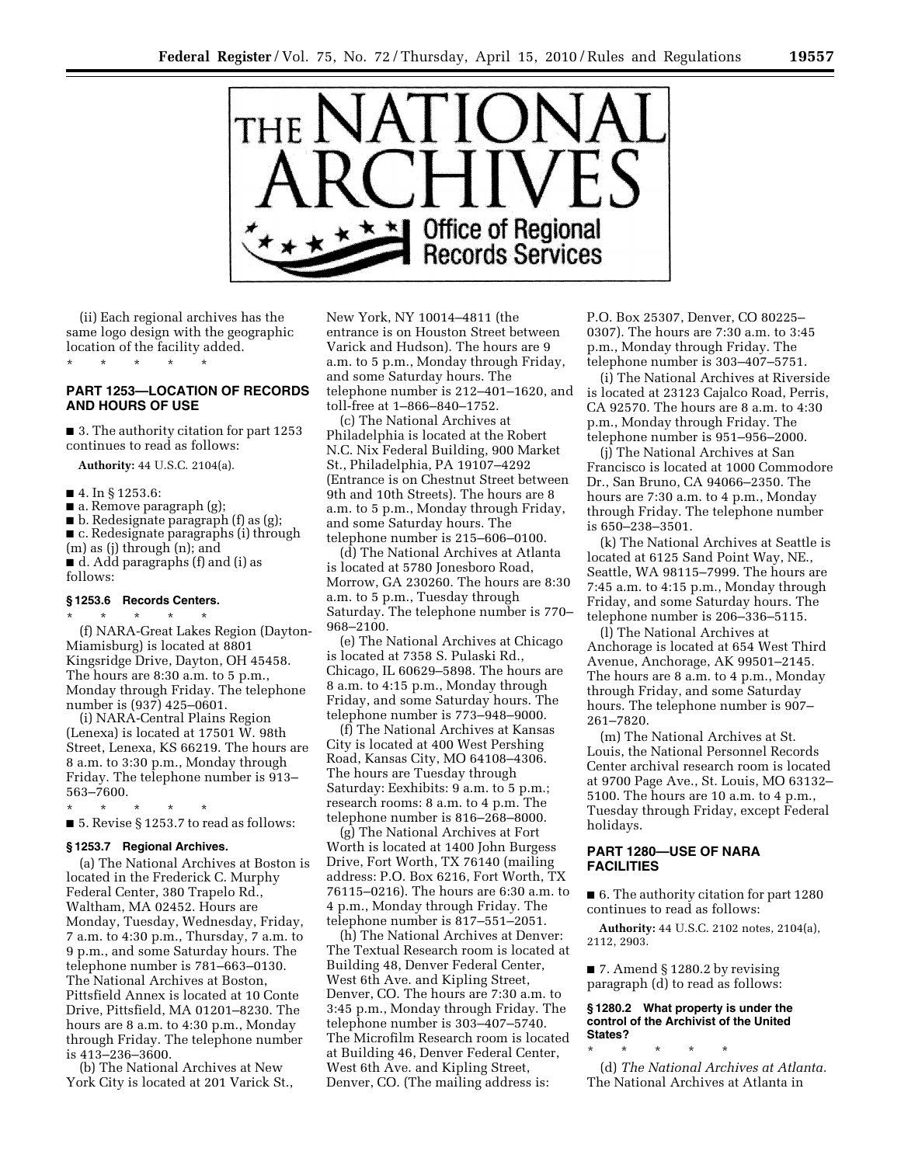

(ii) Each regional archives has the same logo design with the geographic location of the facility added. \* \* \* \* \*

# **PART 1253—LOCATION OF RECORDS AND HOURS OF USE**

■ 3. The authority citation for part 1253 continues to read as follows:

**Authority:** 44 U.S.C. 2104(a).

- 4. In § 1253.6:
- a. Remove paragraph (g);

■ b. Redesignate paragraph (f) as (g); ■ c. Redesignate paragraphs (i) through (m) as (j) through (n); and ■ d. Add paragraphs (f) and (i) as

follows:

#### **§ 1253.6 Records Centers.**

\* \* \* \* \* (f) NARA-Great Lakes Region (Dayton-Miamisburg) is located at 8801 Kingsridge Drive, Dayton, OH 45458. The hours are 8:30 a.m. to 5 p.m., Monday through Friday. The telephone number is (937) 425–0601.

(i) NARA-Central Plains Region (Lenexa) is located at 17501 W. 98th Street, Lenexa, KS 66219. The hours are 8 a.m. to 3:30 p.m., Monday through Friday. The telephone number is 913– 563–7600.

\* \* \* \* \* ■ 5. Revise § 1253.7 to read as follows:

#### **§ 1253.7 Regional Archives.**

(a) The National Archives at Boston is located in the Frederick C. Murphy Federal Center, 380 Trapelo Rd., Waltham, MA 02452. Hours are Monday, Tuesday, Wednesday, Friday, 7 a.m. to 4:30 p.m., Thursday, 7 a.m. to 9 p.m., and some Saturday hours. The telephone number is 781–663–0130. The National Archives at Boston, Pittsfield Annex is located at 10 Conte Drive, Pittsfield, MA 01201–8230. The hours are 8 a.m. to 4:30 p.m., Monday through Friday. The telephone number is 413–236–3600.

(b) The National Archives at New York City is located at 201 Varick St., New York, NY 10014–4811 (the entrance is on Houston Street between Varick and Hudson). The hours are 9 a.m. to 5 p.m., Monday through Friday, and some Saturday hours. The telephone number is 212–401–1620, and toll-free at 1–866–840–1752.

(c) The National Archives at Philadelphia is located at the Robert N.C. Nix Federal Building, 900 Market St., Philadelphia, PA 19107–4292 (Entrance is on Chestnut Street between 9th and 10th Streets). The hours are 8 a.m. to 5 p.m., Monday through Friday, and some Saturday hours. The telephone number is 215–606–0100.

(d) The National Archives at Atlanta is located at 5780 Jonesboro Road, Morrow, GA 230260. The hours are 8:30 a.m. to 5 p.m., Tuesday through Saturday. The telephone number is 770– 968–2100.

(e) The National Archives at Chicago is located at 7358 S. Pulaski Rd., Chicago, IL 60629–5898. The hours are 8 a.m. to 4:15 p.m., Monday through Friday, and some Saturday hours. The telephone number is 773–948–9000.

(f) The National Archives at Kansas City is located at 400 West Pershing Road, Kansas City, MO 64108–4306. The hours are Tuesday through Saturday: Eexhibits: 9 a.m. to 5 p.m.; research rooms: 8 a.m. to 4 p.m. The telephone number is 816–268–8000.

(g) The National Archives at Fort Worth is located at 1400 John Burgess Drive, Fort Worth, TX 76140 (mailing address: P.O. Box 6216, Fort Worth, TX 76115–0216). The hours are 6:30 a.m. to 4 p.m., Monday through Friday. The telephone number is 817–551–2051.

(h) The National Archives at Denver: The Textual Research room is located at Building 48, Denver Federal Center, West 6th Ave. and Kipling Street, Denver, CO. The hours are 7:30 a.m. to 3:45 p.m., Monday through Friday. The telephone number is 303–407–5740. The Microfilm Research room is located at Building 46, Denver Federal Center, West 6th Ave. and Kipling Street, Denver, CO. (The mailing address is:

P.O. Box 25307, Denver, CO 80225– 0307). The hours are 7:30 a.m. to 3:45 p.m., Monday through Friday. The telephone number is 303–407–5751.

(i) The National Archives at Riverside is located at 23123 Cajalco Road, Perris, CA 92570. The hours are 8 a.m. to 4:30 p.m., Monday through Friday. The telephone number is 951–956–2000.

(j) The National Archives at San Francisco is located at 1000 Commodore Dr., San Bruno, CA 94066–2350. The hours are 7:30 a.m. to 4 p.m., Monday through Friday. The telephone number is 650–238–3501.

(k) The National Archives at Seattle is located at 6125 Sand Point Way, NE., Seattle, WA 98115–7999. The hours are 7:45 a.m. to 4:15 p.m., Monday through Friday, and some Saturday hours. The telephone number is 206–336–5115.

(l) The National Archives at Anchorage is located at 654 West Third Avenue, Anchorage, AK 99501–2145. The hours are 8 a.m. to 4 p.m., Monday through Friday, and some Saturday hours. The telephone number is 907– 261–7820.

(m) The National Archives at St. Louis, the National Personnel Records Center archival research room is located at 9700 Page Ave., St. Louis, MO 63132– 5100. The hours are 10 a.m. to 4 p.m., Tuesday through Friday, except Federal holidays.

# **PART 1280—USE OF NARA FACILITIES**

■ 6. The authority citation for part 1280 continues to read as follows:

**Authority:** 44 U.S.C. 2102 notes, 2104(a), 2112, 2903.

■ 7. Amend § 1280.2 by revising paragraph (d) to read as follows:

### **§ 1280.2 What property is under the control of the Archivist of the United States?**

\* \* \* \* \*

(d) *The National Archives at Atlanta.*  The National Archives at Atlanta in